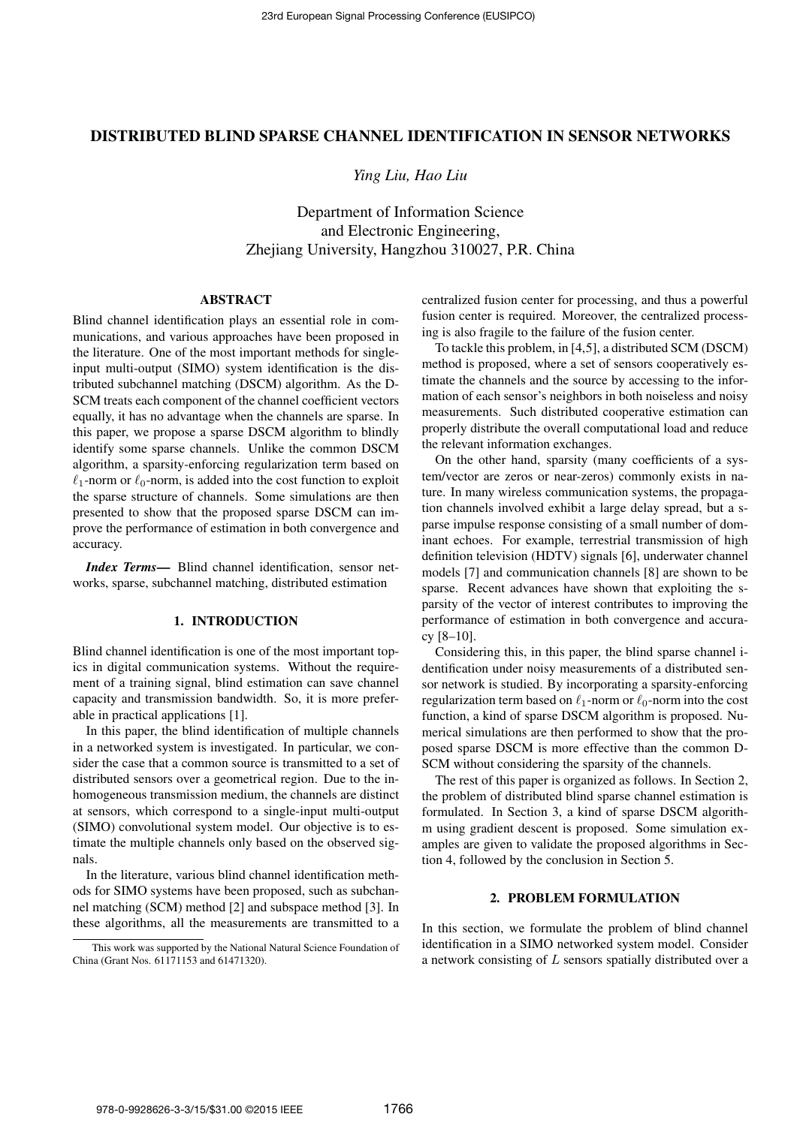## DISTRIBUTED BLIND SPARSE CHANNEL IDENTIFICATION IN SENSOR NETWORKS

*Ying Liu, Hao Liu*

Department of Information Science and Electronic Engineering, Zhejiang University, Hangzhou 310027, P.R. China

### ABSTRACT

Blind channel identification plays an essential role in communications, and various approaches have been proposed in the literature. One of the most important methods for singleinput multi-output (SIMO) system identification is the distributed subchannel matching (DSCM) algorithm. As the D-SCM treats each component of the channel coefficient vectors equally, it has no advantage when the channels are sparse. In this paper, we propose a sparse DSCM algorithm to blindly identify some sparse channels. Unlike the common DSCM algorithm, a sparsity-enforcing regularization term based on  $\ell_1$ -norm or  $\ell_0$ -norm, is added into the cost function to exploit the sparse structure of channels. Some simulations are then presented to show that the proposed sparse DSCM can improve the performance of estimation in both convergence and accuracy.

*Index Terms*— Blind channel identification, sensor networks, sparse, subchannel matching, distributed estimation

# 1. INTRODUCTION

Blind channel identification is one of the most important topics in digital communication systems. Without the requirement of a training signal, blind estimation can save channel capacity and transmission bandwidth. So, it is more preferable in practical applications [1].

In this paper, the blind identification of multiple channels in a networked system is investigated. In particular, we consider the case that a common source is transmitted to a set of distributed sensors over a geometrical region. Due to the inhomogeneous transmission medium, the channels are distinct at sensors, which correspond to a single-input multi-output (SIMO) convolutional system model. Our objective is to estimate the multiple channels only based on the observed signals.

In the literature, various blind channel identification methods for SIMO systems have been proposed, such as subchannel matching (SCM) method [2] and subspace method [3]. In these algorithms, all the measurements are transmitted to a centralized fusion center for processing, and thus a powerful fusion center is required. Moreover, the centralized processing is also fragile to the failure of the fusion center.

To tackle this problem, in [4,5], a distributed SCM (DSCM) method is proposed, where a set of sensors cooperatively estimate the channels and the source by accessing to the information of each sensor's neighbors in both noiseless and noisy measurements. Such distributed cooperative estimation can properly distribute the overall computational load and reduce the relevant information exchanges.

On the other hand, sparsity (many coefficients of a system/vector are zeros or near-zeros) commonly exists in nature. In many wireless communication systems, the propagation channels involved exhibit a large delay spread, but a sparse impulse response consisting of a small number of dominant echoes. For example, terrestrial transmission of high definition television (HDTV) signals [6], underwater channel models [7] and communication channels [8] are shown to be sparse. Recent advances have shown that exploiting the sparsity of the vector of interest contributes to improving the performance of estimation in both convergence and accuracy [8–10].

Considering this, in this paper, the blind sparse channel identification under noisy measurements of a distributed sensor network is studied. By incorporating a sparsity-enforcing regularization term based on  $\ell_1$ -norm or  $\ell_0$ -norm into the cost function, a kind of sparse DSCM algorithm is proposed. Numerical simulations are then performed to show that the proposed sparse DSCM is more effective than the common D-SCM without considering the sparsity of the channels.

The rest of this paper is organized as follows. In Section 2, the problem of distributed blind sparse channel estimation is formulated. In Section 3, a kind of sparse DSCM algorithm using gradient descent is proposed. Some simulation examples are given to validate the proposed algorithms in Section 4, followed by the conclusion in Section 5.

### 2. PROBLEM FORMULATION

In this section, we formulate the problem of blind channel identification in a SIMO networked system model. Consider a network consisting of  $L$  sensors spatially distributed over a

This work was supported by the National Natural Science Foundation of China (Grant Nos. 61171153 and 61471320).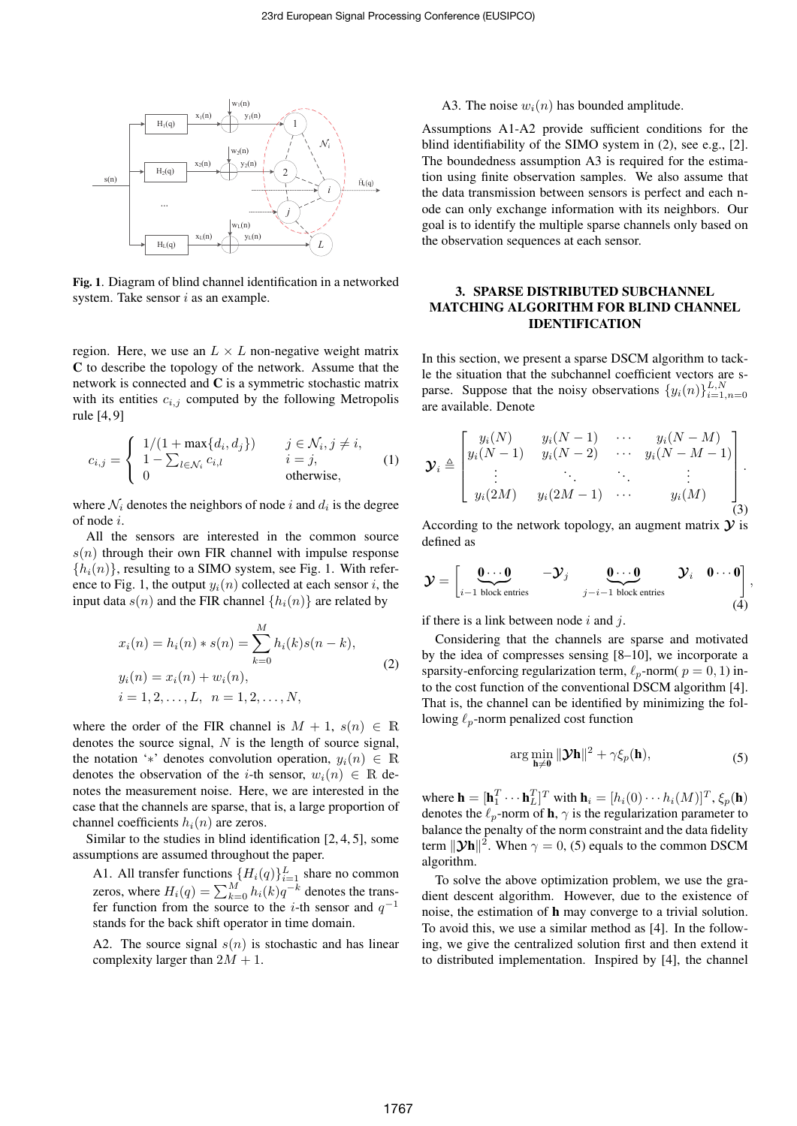

Fig. 1. Diagram of blind channel identification in a networked system. Take sensor  $i$  as an example.

region. Here, we use an  $L \times L$  non-negative weight matrix C to describe the topology of the network. Assume that the network is connected and C is a symmetric stochastic matrix with its entities  $c_{i,j}$  computed by the following Metropolis rule [4, 9]

$$
c_{i,j} = \begin{cases} 1/(1 + \max\{d_i, d_j\}) & j \in \mathcal{N}_i, j \neq i, \\ 1 - \sum_{l \in \mathcal{N}_i} c_{i,l} & i = j, \\ 0 & \text{otherwise,} \end{cases}
$$
(1)

where  $\mathcal{N}_i$  denotes the neighbors of node i and  $d_i$  is the degree of node i.

All the sensors are interested in the common source  $s(n)$  through their own FIR channel with impulse response  ${h_i(n)}$ , resulting to a SIMO system, see Fig. 1. With reference to Fig. 1, the output  $y_i(n)$  collected at each sensor i, the input data  $s(n)$  and the FIR channel  $\{h_i(n)\}\$  are related by

$$
x_i(n) = h_i(n) * s(n) = \sum_{k=0}^{M} h_i(k)s(n-k),
$$
  
\n
$$
y_i(n) = x_i(n) + w_i(n),
$$
  
\n
$$
i = 1, 2, ..., L, \quad n = 1, 2, ..., N,
$$
\n(2)

where the order of the FIR channel is  $M + 1$ ,  $s(n) \in \mathbb{R}$ denotes the source signal,  $N$  is the length of source signal, the notation '\*' denotes convolution operation,  $y_i(n) \in \mathbb{R}$ denotes the observation of the *i*-th sensor,  $w_i(n) \in \mathbb{R}$  denotes the measurement noise. Here, we are interested in the case that the channels are sparse, that is, a large proportion of channel coefficients  $h_i(n)$  are zeros.

Similar to the studies in blind identification [2, 4, 5], some assumptions are assumed throughout the paper.

A1. All transfer functions  $\{H_i(q)\}_{i=1}^L$  share no common zeros, where  $H_i(q) = \sum_{k=0}^{M} h_i(k)q^{-k}$  denotes the transfer function from the source to the *i*-th sensor and  $q^{-1}$ stands for the back shift operator in time domain.

A2. The source signal  $s(n)$  is stochastic and has linear complexity larger than  $2M + 1$ .

A3. The noise  $w_i(n)$  has bounded amplitude.

Assumptions A1-A2 provide sufficient conditions for the blind identifiability of the SIMO system in (2), see e.g., [2]. The boundedness assumption A3 is required for the estimation using finite observation samples. We also assume that the data transmission between sensors is perfect and each node can only exchange information with its neighbors. Our goal is to identify the multiple sparse channels only based on the observation sequences at each sensor.

# 3. SPARSE DISTRIBUTED SUBCHANNEL MATCHING ALGORITHM FOR BLIND CHANNEL IDENTIFICATION

In this section, we present a sparse DSCM algorithm to tackle the situation that the subchannel coefficient vectors are sparse. Suppose that the noisy observations  $\{y_i(n)\}_{i=1,n=0}^{L,N}$ are available. Denote

$$
\mathbf{y}_{i} \triangleq \begin{bmatrix} y_{i}(N) & y_{i}(N-1) & \cdots & y_{i}(N-M) \\ y_{i}(N-1) & y_{i}(N-2) & \cdots & y_{i}(N-M-1) \\ \vdots & \vdots & \ddots & \vdots & \vdots \\ y_{i}(2M) & y_{i}(2M-1) & \cdots & y_{i}(M) \end{bmatrix}.
$$
 (3)

According to the network topology, an augment matrix  $\mathcal{V}$  is defined as

$$
\mathcal{Y} = \begin{bmatrix} \mathbf{0} \cdots \mathbf{0} & -\mathcal{Y}_j & \mathbf{0} \cdots \mathbf{0} & \mathcal{Y}_i & \mathbf{0} \cdots \mathbf{0} \\ i-1 \text{ block entries} & & & j-i-1 \text{ block entries} \end{bmatrix},
$$
\n(4)

if there is a link between node  $i$  and  $j$ .

Considering that the channels are sparse and motivated by the idea of compresses sensing [8–10], we incorporate a sparsity-enforcing regularization term,  $\ell_p$ -norm(  $p = 0, 1$ ) into the cost function of the conventional DSCM algorithm [4]. That is, the channel can be identified by minimizing the following  $\ell_p$ -norm penalized cost function

$$
\arg\min_{\mathbf{h}\neq\mathbf{0}}\|\mathbf{\mathcal{Y}}\mathbf{h}\|^2+\gamma\xi_p(\mathbf{h}),\tag{5}
$$

where  $\mathbf{h} = [\mathbf{h}_1^T \cdots \mathbf{h}_L^T]^T$  with  $\mathbf{h}_i = [h_i(0) \cdots h_i(M)]^T$ ,  $\xi_p(\mathbf{h})$ denotes the  $\ell_p$ -norm of **h**,  $\gamma$  is the regularization parameter to balance the penalty of the norm constraint and the data fidelity term  $\|\mathbf{y_h}\|^2$ . When  $\gamma = 0$ , (5) equals to the common DSCM algorithm.

To solve the above optimization problem, we use the gradient descent algorithm. However, due to the existence of noise, the estimation of h may converge to a trivial solution. To avoid this, we use a similar method as [4]. In the following, we give the centralized solution first and then extend it to distributed implementation. Inspired by [4], the channel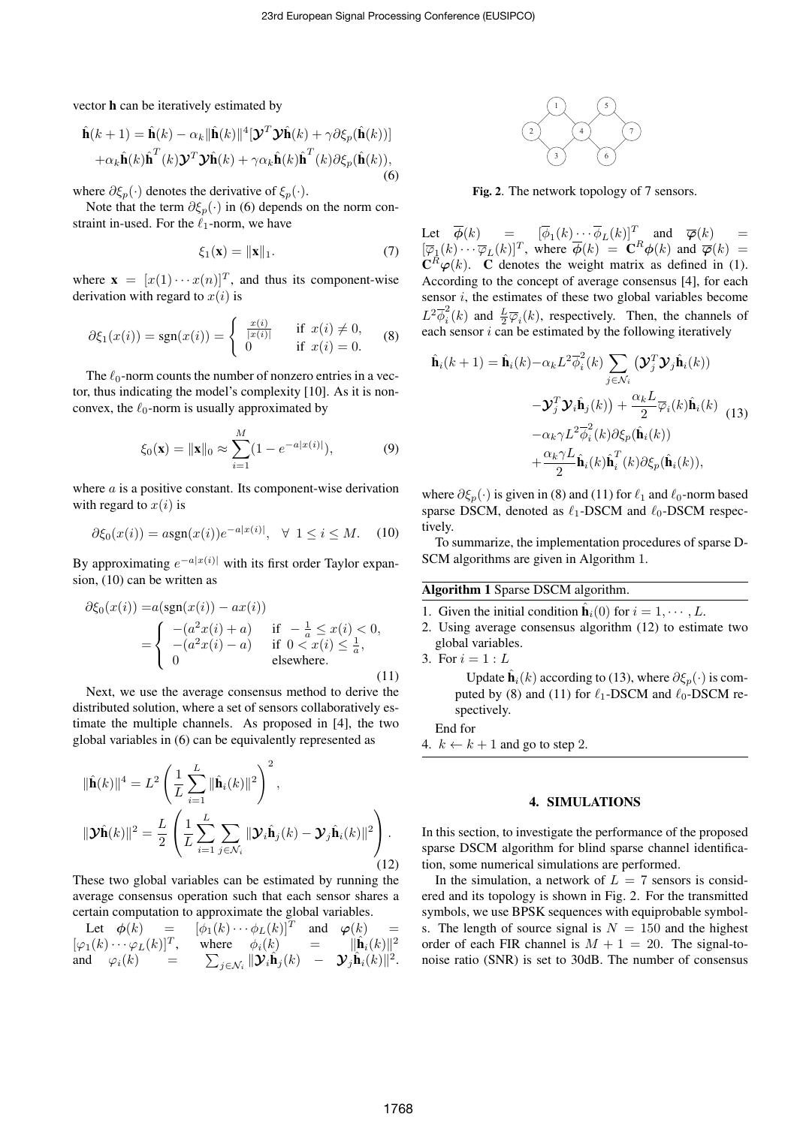vector h can be iteratively estimated by

$$
\hat{\mathbf{h}}(k+1) = \hat{\mathbf{h}}(k) - \alpha_k \|\hat{\mathbf{h}}(k)\|^4 [\mathbf{\mathcal{Y}}^T \mathbf{\mathcal{Y}} \hat{\mathbf{h}}(k) + \gamma \partial \xi_p(\hat{\mathbf{h}}(k))]
$$

$$
+ \alpha_k \hat{\mathbf{h}}(k) \hat{\mathbf{h}}^T(k) \mathbf{\mathcal{Y}}^T \mathbf{\mathcal{Y}} \hat{\mathbf{h}}(k) + \gamma \alpha_k \hat{\mathbf{h}}(k) \hat{\mathbf{h}}^T(k) \partial \xi_p(\hat{\mathbf{h}}(k)),
$$
(6)

where  $\partial \xi_p(\cdot)$  denotes the derivative of  $\xi_p(\cdot)$ .

Note that the term  $\partial \xi_p(\cdot)$  in (6) depends on the norm constraint in-used. For the  $\ell_1$ -norm, we have

$$
\xi_1(\mathbf{x}) = \|\mathbf{x}\|_1. \tag{7}
$$

where  $\mathbf{x} = [x(1) \cdots x(n)]^T$ , and thus its component-wise derivation with regard to  $x(i)$  is

$$
\partial \xi_1(x(i)) = \text{sgn}(x(i)) = \begin{cases} \frac{x(i)}{|x(i)|} & \text{if } x(i) \neq 0, \\ 0 & \text{if } x(i) = 0. \end{cases}
$$
 (8)

The  $\ell_0$ -norm counts the number of nonzero entries in a vector, thus indicating the model's complexity [10]. As it is nonconvex, the  $\ell_0$ -norm is usually approximated by

$$
\xi_0(\mathbf{x}) = \|\mathbf{x}\|_0 \approx \sum_{i=1}^M (1 - e^{-a|x(i)|}), \tag{9}
$$

where  $a$  is a positive constant. Its component-wise derivation with regard to  $x(i)$  is

$$
\partial \xi_0(x(i)) = \alpha \text{sgn}(x(i))e^{-a|x(i)|}, \quad \forall \ 1 \le i \le M. \tag{10}
$$

By approximating  $e^{-a|x(i)|}$  with its first order Taylor expansion, (10) can be written as

$$
\partial \xi_0(x(i)) = a(\text{sgn}(x(i)) - ax(i)) \n= \begin{cases}\n-(a^2x(i) + a) & \text{if } -\frac{1}{a} \le x(i) < 0, \\
-(a^2x(i) - a) & \text{if } 0 < x(i) \le \frac{1}{a}, \\
0 & \text{elsewhere.} \n\end{cases}
$$
\n(11)

Next, we use the average consensus method to derive the distributed solution, where a set of sensors collaboratively estimate the multiple channels. As proposed in [4], the two global variables in (6) can be equivalently represented as

$$
\|\hat{\mathbf{h}}(k)\|^4 = L^2 \left(\frac{1}{L} \sum_{i=1}^L \|\hat{\mathbf{h}}_i(k)\|^2\right)^2,
$$
  

$$
\|\mathbf{\mathcal{Y}}\hat{\mathbf{h}}(k)\|^2 = \frac{L}{2} \left(\frac{1}{L} \sum_{i=1}^L \sum_{j \in \mathcal{N}_i} \|\mathbf{\mathcal{Y}}_i\hat{\mathbf{h}}_j(k) - \mathbf{\mathcal{Y}}_j\hat{\mathbf{h}}_i(k)\|^2\right).
$$
 (12)

These two global variables can be estimated by running the average consensus operation such that each sensor shares a certain computation to approximate the global variables.

Let 
$$
\phi(k) = [\phi_1(k) \cdots \phi_L(k)]^T
$$
 and  $\phi(k) = [\phi_1(k) \cdots \phi_L(k)]^T$ , where  $\phi_i(k) = ||\hat{\mathbf{h}}_i(k)||^2$   
and  $\phi_i(k) = \sum_{j \in \mathcal{N}_i} ||\mathbf{\mathcal{Y}}_i \hat{\mathbf{h}}_j(k) - \mathbf{\mathcal{Y}}_j \hat{\mathbf{h}}_i(k)||^2$ .



Fig. 2. The network topology of 7 sensors.

Let  $\overline{\phi}(k)$  =  $\left[\overline{\phi}_1(k)\cdots\overline{\phi}_L(k)\right]^T$  and  $\overline{\phi}(k)$  =  $[\overline{\varphi}_1(k) \cdots \overline{\varphi}_L(k)]^T$ , where  $\overline{\phi}(k) = \mathbf{C}^R \phi(k)$  and  $\overline{\phi}(k) =$  $\mathbf C$  $R^3\varphi(k)$ . C denotes the weight matrix as defined in (1). According to the concept of average consensus [4], for each sensor  $i$ , the estimates of these two global variables become  $L^2\overline{\phi}_i^2$  $\frac{1}{i}(k)$  and  $\frac{L}{2}\overline{\varphi}_i(k)$ , respectively. Then, the channels of each sensor  $i$  can be estimated by the following iteratively

$$
\hat{\mathbf{h}}_i(k+1) = \hat{\mathbf{h}}_i(k) - \alpha_k L^2 \overline{\phi}_i^2(k) \sum_{j \in \mathcal{N}_i} (\mathbf{\mathcal{Y}}_j^T \mathbf{\mathcal{Y}}_j \hat{\mathbf{h}}_i(k)) \n- \mathbf{\mathcal{Y}}_j^T \mathbf{\mathcal{Y}}_i \hat{\mathbf{h}}_j(k) + \frac{\alpha_k L}{2} \overline{\phi}_i(k) \hat{\mathbf{h}}_i(k) \n- \alpha_k \gamma L^2 \overline{\phi}_i^2(k) \partial \xi_p(\hat{\mathbf{h}}_i(k)) \n+ \frac{\alpha_k \gamma L}{2} \hat{\mathbf{h}}_i(k) \hat{\mathbf{h}}_i^T(k) \partial \xi_p(\hat{\mathbf{h}}_i(k)),
$$
\n(13)

where  $\partial \xi_p(\cdot)$  is given in (8) and (11) for  $\ell_1$  and  $\ell_0$ -norm based sparse DSCM, denoted as  $\ell_1$ -DSCM and  $\ell_0$ -DSCM respectively.

To summarize, the implementation procedures of sparse D-SCM algorithms are given in Algorithm 1.

# Algorithm 1 Sparse DSCM algorithm.

- 1. Given the initial condition  $\hat{\mathbf{h}}_i(0)$  for  $i = 1, \dots, L$ .
- 2. Using average consensus algorithm (12) to estimate two global variables.
- 3. For  $i = 1 : L$ Update  $\hat{\mathbf{h}}_i(k)$  according to (13), where  $\partial \xi_p(\cdot)$  is computed by (8) and (11) for  $\ell_1$ -DSCM and  $\ell_0$ -DSCM respectively.

End for

4.  $k \leftarrow k + 1$  and go to step 2.

#### 4. SIMULATIONS

In this section, to investigate the performance of the proposed sparse DSCM algorithm for blind sparse channel identification, some numerical simulations are performed.

In the simulation, a network of  $L = 7$  sensors is considered and its topology is shown in Fig. 2. For the transmitted symbols, we use BPSK sequences with equiprobable symbols. The length of source signal is  $N = 150$  and the highest order of each FIR channel is  $M + 1 = 20$ . The signal-tonoise ratio (SNR) is set to 30dB. The number of consensus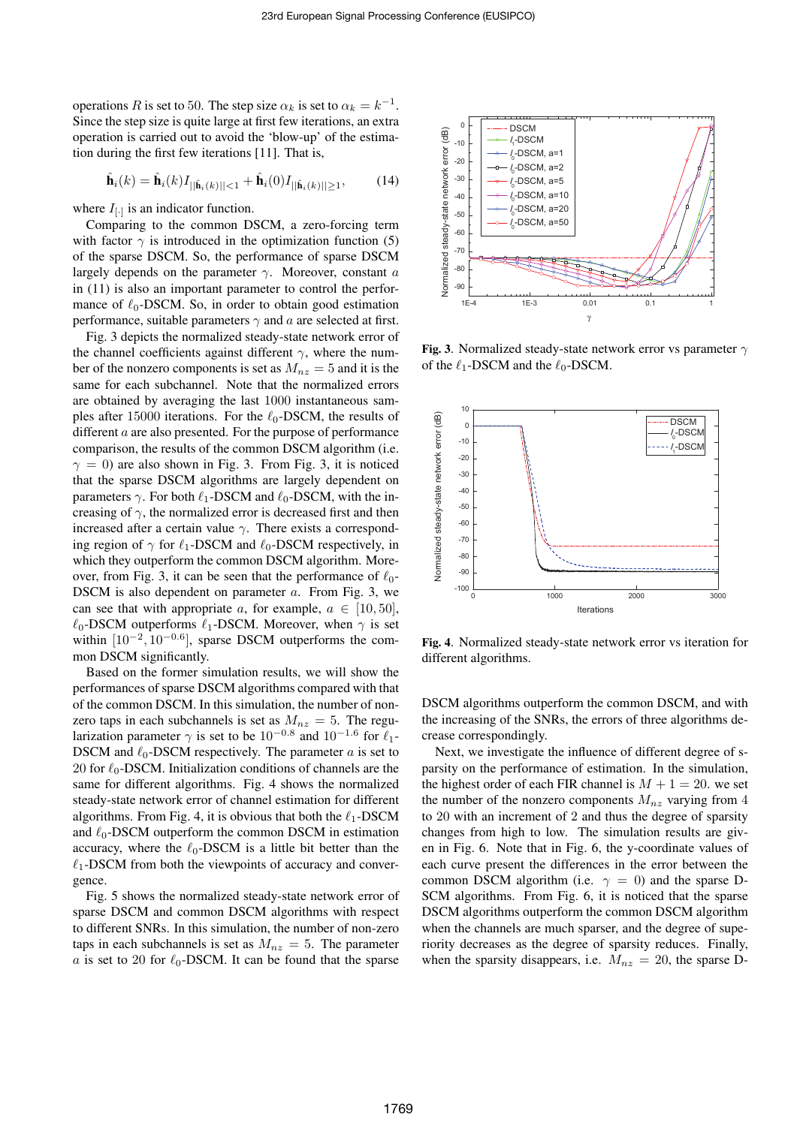operations R is set to 50. The step size  $\alpha_k$  is set to  $\alpha_k = k^{-1}$ . Since the step size is quite large at first few iterations, an extra operation is carried out to avoid the 'blow-up' of the estimation during the first few iterations [11]. That is,

$$
\hat{\mathbf{h}}_i(k) = \hat{\mathbf{h}}_i(k) I_{\vert\vert \hat{\mathbf{h}}_i(k) \vert\vert < 1} + \hat{\mathbf{h}}_i(0) I_{\vert\vert \hat{\mathbf{h}}_i(k) \vert\vert \ge 1},\tag{14}
$$

where  $I_{[\cdot]}$  is an indicator function.

Comparing to the common DSCM, a zero-forcing term with factor  $\gamma$  is introduced in the optimization function (5) of the sparse DSCM. So, the performance of sparse DSCM largely depends on the parameter  $\gamma$ . Moreover, constant a in (11) is also an important parameter to control the performance of  $\ell_0$ -DSCM. So, in order to obtain good estimation performance, suitable parameters  $\gamma$  and a are selected at first.

Fig. 3 depicts the normalized steady-state network error of the channel coefficients against different  $\gamma$ , where the number of the nonzero components is set as  $M_{nz} = 5$  and it is the same for each subchannel. Note that the normalized errors are obtained by averaging the last 1000 instantaneous samples after 15000 iterations. For the  $\ell_0$ -DSCM, the results of different a are also presented. For the purpose of performance comparison, the results of the common DSCM algorithm (i.e.  $\gamma = 0$ ) are also shown in Fig. 3. From Fig. 3, it is noticed that the sparse DSCM algorithms are largely dependent on parameters  $\gamma$ . For both  $\ell_1$ -DSCM and  $\ell_0$ -DSCM, with the increasing of  $\gamma$ , the normalized error is decreased first and then increased after a certain value  $\gamma$ . There exists a corresponding region of  $\gamma$  for  $\ell_1$ -DSCM and  $\ell_0$ -DSCM respectively, in which they outperform the common DSCM algorithm. Moreover, from Fig. 3, it can be seen that the performance of  $\ell_0$ -DSCM is also dependent on parameter a. From Fig. 3, we can see that with appropriate a, for example,  $a \in [10, 50]$ ,  $\ell_0$ -DSCM outperforms  $\ell_1$ -DSCM. Moreover, when  $\gamma$  is set within  $[10^{-2}, 10^{-0.6}]$ , sparse DSCM outperforms the common DSCM significantly.

Based on the former simulation results, we will show the performances of sparse DSCM algorithms compared with that of the common DSCM. In this simulation, the number of nonzero taps in each subchannels is set as  $M_{nz} = 5$ . The regularization parameter  $\gamma$  is set to be  $10^{-0.8}$  and  $10^{-1.6}$  for  $\ell_1$ -DSCM and  $\ell_0$ -DSCM respectively. The parameter  $a$  is set to 20 for  $\ell_0$ -DSCM. Initialization conditions of channels are the same for different algorithms. Fig. 4 shows the normalized steady-state network error of channel estimation for different algorithms. From Fig. 4, it is obvious that both the  $\ell_1$ -DSCM and  $\ell_0$ -DSCM outperform the common DSCM in estimation accuracy, where the  $\ell_0$ -DSCM is a little bit better than the  $\ell_1$ -DSCM from both the viewpoints of accuracy and convergence.

Fig. 5 shows the normalized steady-state network error of sparse DSCM and common DSCM algorithms with respect to different SNRs. In this simulation, the number of non-zero taps in each subchannels is set as  $M_{nz} = 5$ . The parameter a is set to 20 for  $\ell_0$ -DSCM. It can be found that the sparse



Fig. 3. Normalized steady-state network error vs parameter  $\gamma$ of the  $\ell_1$ -DSCM and the  $\ell_0$ -DSCM.



Fig. 4. Normalized steady-state network error vs iteration for different algorithms.

DSCM algorithms outperform the common DSCM, and with the increasing of the SNRs, the errors of three algorithms decrease correspondingly.

Next, we investigate the influence of different degree of sparsity on the performance of estimation. In the simulation, the highest order of each FIR channel is  $M + 1 = 20$ . we set the number of the nonzero components  $M_{nz}$  varying from 4 to 20 with an increment of 2 and thus the degree of sparsity changes from high to low. The simulation results are given in Fig. 6. Note that in Fig. 6, the y-coordinate values of each curve present the differences in the error between the common DSCM algorithm (i.e.  $\gamma = 0$ ) and the sparse D-SCM algorithms. From Fig. 6, it is noticed that the sparse DSCM algorithms outperform the common DSCM algorithm when the channels are much sparser, and the degree of superiority decreases as the degree of sparsity reduces. Finally, when the sparsity disappears, i.e.  $M_{nz} = 20$ , the sparse D-